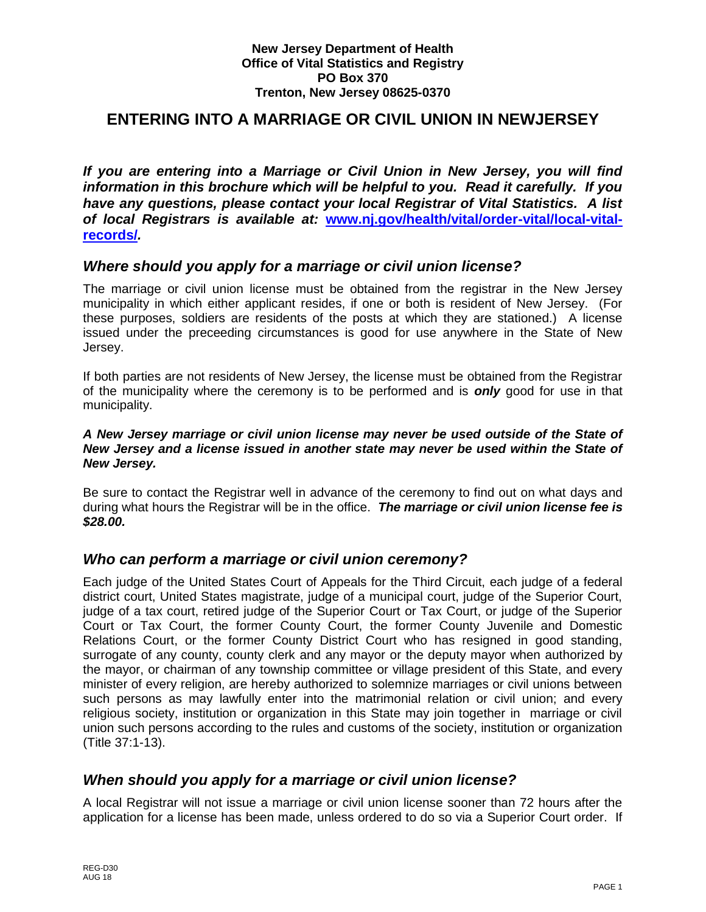#### **New Jersey Department of Health Office of Vital Statistics and Registry PO Box 370 Trenton, New Jersey 08625-0370**

# **ENTERING INTO A MARRIAGE OR CIVIL UNION IN NEWJERSEY**

*If you are entering into a Marriage or Civil Union in New Jersey, you will find information in this brochure which will be helpful to you. Read it carefully. If you have any questions, please contact your local Registrar of Vital Statistics. A list of local Registrars is available at:* **[www.nj.gov/health/vital/order-vital/local-vital](http://www.nj.gov/health/vital/order-vital/local-vital-records/)[records/](http://www.nj.gov/health/vital/order-vital/local-vital-records/)***.*

### *Where should you apply for a marriage or civil union license?*

The marriage or civil union license must be obtained from the registrar in the New Jersey municipality in which either applicant resides, if one or both is resident of New Jersey. (For these purposes, soldiers are residents of the posts at which they are stationed.) A license issued under the preceeding circumstances is good for use anywhere in the State of New Jersey.

If both parties are not residents of New Jersey, the license must be obtained from the Registrar of the municipality where the ceremony is to be performed and is *only* good for use in that municipality.

#### *A New Jersey marriage or civil union license may never be used outside of the State of New Jersey and a license issued in another state may never be used within the State of New Jersey.*

Be sure to contact the Registrar well in advance of the ceremony to find out on what days and during what hours the Registrar will be in the office. *The marriage or civil union license fee is \$28.00.*

### *Who can perform a marriage or civil union ceremony?*

Each judge of the United States Court of Appeals for the Third Circuit, each judge of a federal district court, United States magistrate, judge of a municipal court, judge of the Superior Court, judge of a tax court, retired judge of the Superior Court or Tax Court, or judge of the Superior Court or Tax Court, the former County Court, the former County Juvenile and Domestic Relations Court, or the former County District Court who has resigned in good standing, surrogate of any county, county clerk and any mayor or the deputy mayor when authorized by the mayor, or chairman of any township committee or village president of this State, and every minister of every religion, are hereby authorized to solemnize marriages or civil unions between such persons as may lawfully enter into the matrimonial relation or civil union; and every religious society, institution or organization in this State may join together in marriage or civil union such persons according to the rules and customs of the society, institution or organization (Title 37:1-13).

### *When should you apply for a marriage or civil union license?*

A local Registrar will not issue a marriage or civil union license sooner than 72 hours after the application for a license has been made, unless ordered to do so via a Superior Court order. If